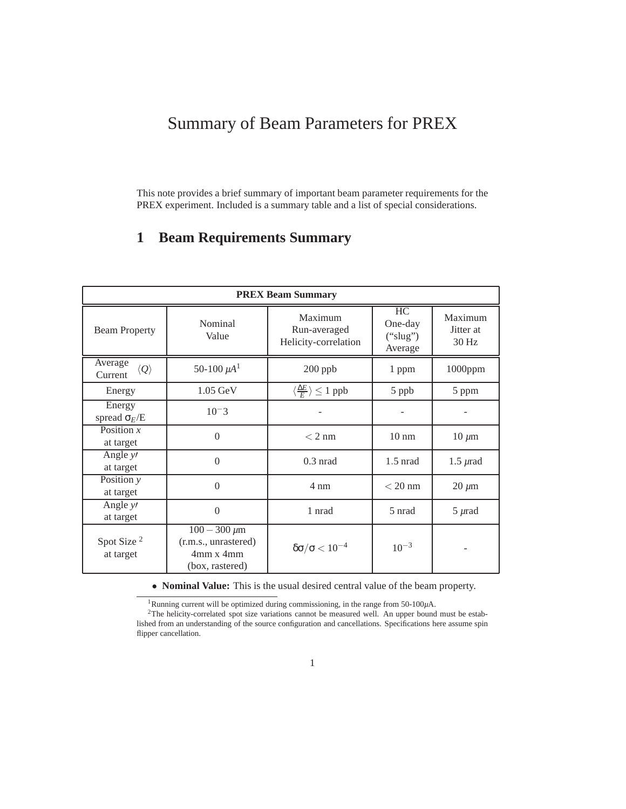## Summary of Beam Parameters for PREX

This note provides a brief summary of important beam parameter requirements for the PREX experiment. Included is a summary table and a list of special considerations.

## **1 Beam Requirements Summary**

| <b>PREX Beam Summary</b>                  |                                                                             |                                                 |                                      |                               |
|-------------------------------------------|-----------------------------------------------------------------------------|-------------------------------------------------|--------------------------------------|-------------------------------|
| <b>Beam Property</b>                      | Nominal<br>Value                                                            | Maximum<br>Run-averaged<br>Helicity-correlation | HC<br>One-day<br>("slug")<br>Average | Maximum<br>Jitter at<br>30 Hz |
| Average<br>$\langle Q \rangle$<br>Current | 50-100 $\mu A^1$                                                            | $200$ ppb                                       | 1 ppm                                | $1000$ ppm                    |
| Energy                                    | $1.05 \text{ GeV}$                                                          | $\langle \frac{\Delta E}{F} \rangle \leq 1$ ppb | 5 ppb                                | 5 ppm                         |
| Energy<br>spread $\sigma_E/E$             | $10^{-3}$                                                                   |                                                 |                                      |                               |
| Position $x$<br>at target                 | $\Omega$                                                                    | $< 2 \text{ nm}$                                | $10 \text{ nm}$                      | $10 \mu m$                    |
| Angle $y'$<br>at target                   | $\Omega$                                                                    | $0.3$ nrad                                      | $1.5$ nrad                           | $1.5 \,\mu$ rad               |
| Position y<br>at target                   | $\Omega$                                                                    | $4 \text{ nm}$                                  | $<$ 20 nm                            | $20 \mu m$                    |
| Angle $y'$<br>at target                   | $\theta$                                                                    | 1 nrad                                          | 5 nrad                               | $5 \mu$ rad                   |
| Spot Size <sup>2</sup><br>at target       | $100 - 300 \,\mu m$<br>(r.m.s., unrastered)<br>4mm x 4mm<br>(box, rastered) | $\delta \sigma / \sigma < 10^{-4}$              | $10^{-3}$                            |                               |

• **Nominal Value:** This is the usual desired central value of the beam property.

<sup>1</sup>Running current will be optimized during commissioning, in the range from 50-100*µ*A.

<sup>2</sup>The helicity-correlated spot size variations cannot be measured well. An upper bound must be established from an understanding of the source configuration and cancellations. Specifications here assume spin flipper cancellation.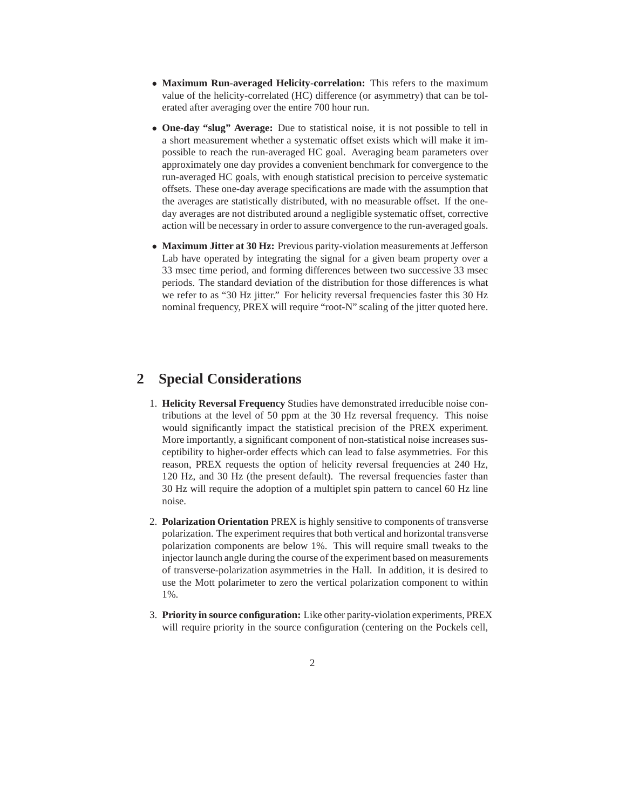- **Maximum Run-averaged Helicity-correlation:** This refers to the maximum value of the helicity-correlated (HC) difference (or asymmetry) that can be tolerated after averaging over the entire 700 hour run.
- **One-day "slug" Average:** Due to statistical noise, it is not possible to tell in a short measurement whether a systematic offset exists which will make it impossible to reach the run-averaged HC goal. Averaging beam parameters over approximately one day provides a convenient benchmark for convergence to the run-averaged HC goals, with enough statistical precision to perceive systematic offsets. These one-day average specifications are made with the assumption that the averages are statistically distributed, with no measurable offset. If the oneday averages are not distributed around a negligible systematic offset, corrective action will be necessary in order to assure convergence to the run-averaged goals.
- **Maximum Jitter at 30 Hz:** Previous parity-violation measurements at Jefferson Lab have operated by integrating the signal for a given beam property over a 33 msec time period, and forming differences between two successive 33 msec periods. The standard deviation of the distribution for those differences is what we refer to as "30 Hz jitter." For helicity reversal frequencies faster this 30 Hz nominal frequency, PREX will require "root-N" scaling of the jitter quoted here.

## **2 Special Considerations**

- 1. **Helicity Reversal Frequency** Studies have demonstrated irreducible noise contributions at the level of 50 ppm at the 30 Hz reversal frequency. This noise would significantly impact the statistical precision of the PREX experiment. More importantly, a significant component of non-statistical noise increases susceptibility to higher-order effects which can lead to false asymmetries. For this reason, PREX requests the option of helicity reversal frequencies at 240 Hz, 120 Hz, and 30 Hz (the present default). The reversal frequencies faster than 30 Hz will require the adoption of a multiplet spin pattern to cancel 60 Hz line noise.
- 2. **Polarization Orientation** PREX is highly sensitive to components of transverse polarization. The experiment requires that both vertical and horizontal transverse polarization components are below 1%. This will require small tweaks to the injector launch angle during the course of the experiment based on measurements of transverse-polarization asymmetries in the Hall. In addition, it is desired to use the Mott polarimeter to zero the vertical polarization component to within 1%.
- 3. **Priority in source configuration:** Like other parity-violation experiments, PREX will require priority in the source configuration (centering on the Pockels cell,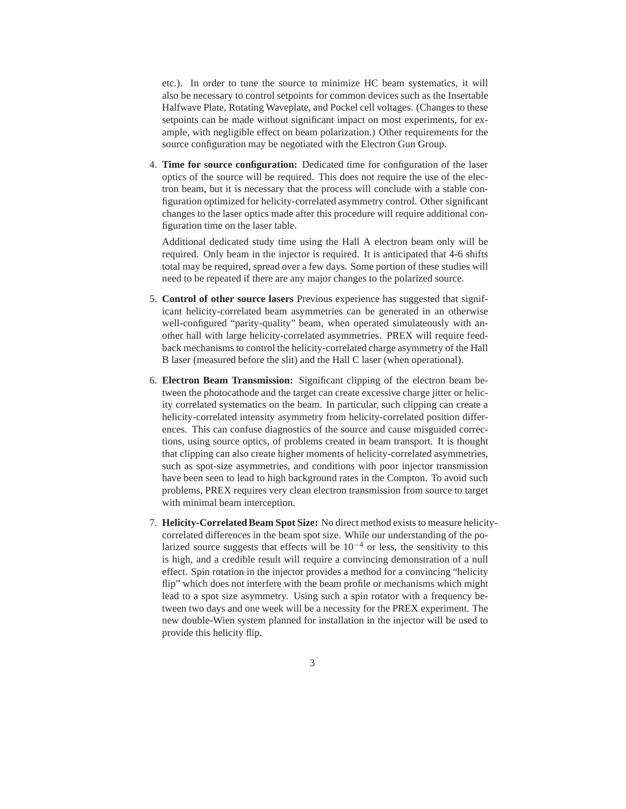etc.). In order to tune the source to minimize HC beam systematics, it will also be necessary to control setpoints for common devices such as the Insertable Halfwave Plate, Rotating Waveplate, and Pockel cell voltages. (Changes to these setpoints can be made without significant impact on most experiments, for example, with negligible effect on beam polarization.) Other requirements for the source configuration may be negotiated with the Electron Gun Group.

4. **Time for source configuration:** Dedicated time for configuration of the laser optics of the source will be required. This does not require the use of the electron beam, but it is necessary that the process will conclude with a stable configuration optimized for helicity-correlated asymmetry control. Other significant changes to the laser optics made after this procedure will require additional configuration time on the laser table.

Additional dedicated study time using the Hall A electron beam only will be required. Only beam in the injector is required. It is anticipated that 4-6 shifts total may be required, spread over a few days. Some portion of these studies will need to be repeated if there are any major changes to the polarized source.

- 5. **Control of other source lasers** Previous experience has suggested that significant helicity-correlated beam asymmetries can be generated in an otherwise well-configured "parity-quality" beam, when operated simulateously with another hall with large helicity-correlated asymmetries. PREX will require feedback mechanisms to control the helicity-correlated charge asymmetry of the Hall B laser (measured before the slit) and the Hall C laser (when operational).
- 6. **Electron Beam Transmission:** Significant clipping of the electron beam between the photocathode and the target can create excessive charge jitter or helicity correlated systematics on the beam. In particular, such clipping can create a helicity-correlated intensity asymmetry from helicity-correlated position differences. This can confuse diagnostics of the source and cause misguided corrections, using source optics, of problems created in beam transport. It is thought that clipping can also create higher moments of helicity-correlated asymmetries, such as spot-size asymmetries, and conditions with poor injector transmission have been seen to lead to high background rates in the Compton. To avoid such problems, PREX requires very clean electron transmission from source to target with minimal beam interception.
- 7. **Helicity-Correlated Beam Spot Size:** No direct method exists to measure helicitycorrelated differences in the beam spot size. While our understanding of the polarized source suggests that effects will be  $10^{-4}$  or less, the sensitivity to this is high, and a credible result will require a convincing demonstration of a null effect. Spin rotation in the injector provides a method for a convincing "helicity flip" which does not interfere with the beam profile or mechanisms which might lead to a spot size asymmetry. Using such a spin rotator with a frequency between two days and one week will be a necessity for the PREX experiment. The new double-Wien system planned for installation in the injector will be used to provide this helicity flip.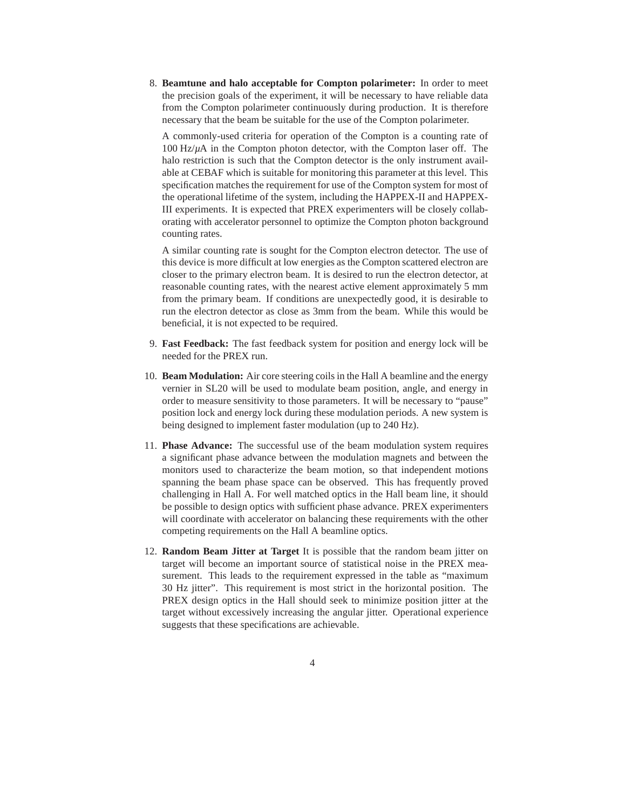8. **Beamtune and halo acceptable for Compton polarimeter:** In order to meet the precision goals of the experiment, it will be necessary to have reliable data from the Compton polarimeter continuously during production. It is therefore necessary that the beam be suitable for the use of the Compton polarimeter.

A commonly-used criteria for operation of the Compton is a counting rate of 100 Hz/*µ*A in the Compton photon detector, with the Compton laser off. The halo restriction is such that the Compton detector is the only instrument available at CEBAF which is suitable for monitoring this parameter at this level. This specification matches the requirement for use of the Compton system for most of the operational lifetime of the system, including the HAPPEX-II and HAPPEX-III experiments. It is expected that PREX experimenters will be closely collaborating with accelerator personnel to optimize the Compton photon background counting rates.

A similar counting rate is sought for the Compton electron detector. The use of this device is more difficult at low energies as the Compton scattered electron are closer to the primary electron beam. It is desired to run the electron detector, at reasonable counting rates, with the nearest active element approximately 5 mm from the primary beam. If conditions are unexpectedly good, it is desirable to run the electron detector as close as 3mm from the beam. While this would be beneficial, it is not expected to be required.

- 9. **Fast Feedback:** The fast feedback system for position and energy lock will be needed for the PREX run.
- 10. **Beam Modulation:** Air core steering coils in the Hall A beamline and the energy vernier in SL20 will be used to modulate beam position, angle, and energy in order to measure sensitivity to those parameters. It will be necessary to "pause" position lock and energy lock during these modulation periods. A new system is being designed to implement faster modulation (up to 240 Hz).
- 11. **Phase Advance:** The successful use of the beam modulation system requires a significant phase advance between the modulation magnets and between the monitors used to characterize the beam motion, so that independent motions spanning the beam phase space can be observed. This has frequently proved challenging in Hall A. For well matched optics in the Hall beam line, it should be possible to design optics with sufficient phase advance. PREX experimenters will coordinate with accelerator on balancing these requirements with the other competing requirements on the Hall A beamline optics.
- 12. **Random Beam Jitter at Target** It is possible that the random beam jitter on target will become an important source of statistical noise in the PREX measurement. This leads to the requirement expressed in the table as "maximum 30 Hz jitter". This requirement is most strict in the horizontal position. The PREX design optics in the Hall should seek to minimize position jitter at the target without excessively increasing the angular jitter. Operational experience suggests that these specifications are achievable.